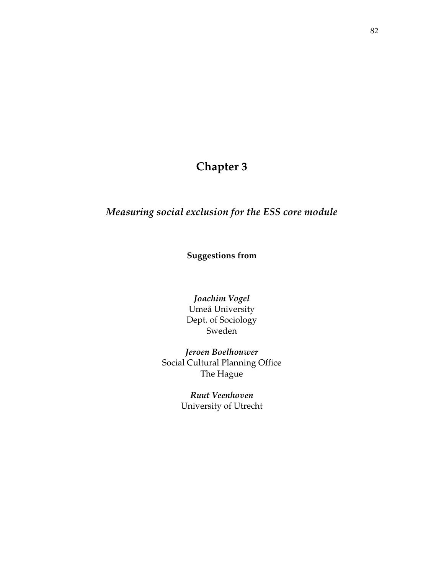# **Chapter 3**

## *Measuring social exclusion for the ESS core module*

## **Suggestions from**

*Joachim Vogel*  Umeå University Dept. of Sociology Sweden

*Jeroen Boelhouwer*  Social Cultural Planning Office The Hague

> *Ruut Veenhoven*  University of Utrecht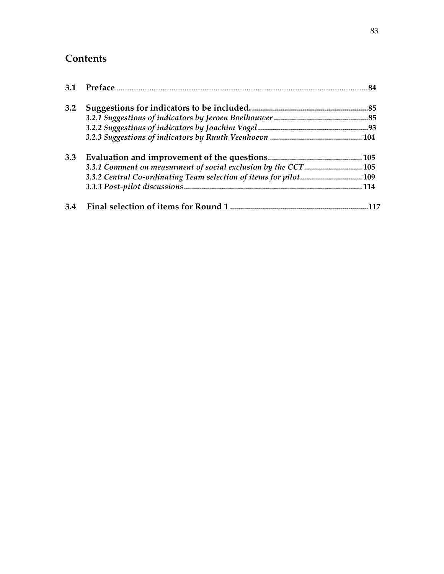## **Contents**

| 3.1 | Preface.                                                          |     |
|-----|-------------------------------------------------------------------|-----|
| 3.2 |                                                                   |     |
|     |                                                                   |     |
|     |                                                                   |     |
|     |                                                                   |     |
| 3.3 |                                                                   |     |
|     | 3.3.1 Comment on measurment of social exclusion by the CCT 105    |     |
|     | 3.3.2 Central Co-ordinating Team selection of items for pilot 109 |     |
|     |                                                                   | 114 |
| 3.4 |                                                                   |     |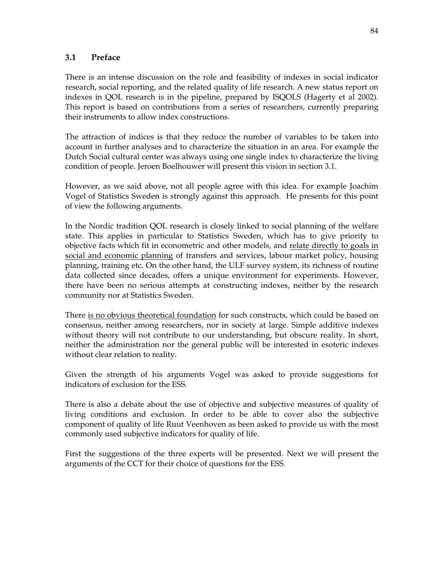## **3.1 Preface**

There is an intense discussion on the role and feasibility of indexes in social indicator research, social reporting, and the related quality of life research. A new status report on indexes in QOL research is in the pipeline, prepared by ISQOLS (Hagerty et al 2002). This report is based on contributions from a series of researchers, currently preparing their instruments to allow index constructions.

The attraction of indices is that they reduce the number of variables to be taken into account in further analyses and to characterize the situation in an area. For example the Dutch Social cultural center was always using one single index to characterize the living condition of people. Jeroen Boelhouwer will present this vision in section 3.1.

However, as we said above, not all people agree with this idea. For example Joachim Vogel of Statistics Sweden is strongly against this approach. He presents for this point of view the following arguments.

In the Nordic tradition QOL research is closely linked to social planning of the welfare state. This applies in particular to Statistics Sweden, which has to give priority to objective facts which fit in econometric and other models, and relate directly to goals in social and economic planning of transfers and services, labour market policy, housing planning, training etc. On the other hand, the ULF survey system, its richness of routine data collected since decades, offers a unique environment for experiments. However, there have been no serious attempts at constructing indexes, neither by the research community nor at Statistics Sweden.

There is no obvious theoretical foundation for such constructs, which could be based on consensus, neither among researchers, nor in society at large. Simple additive indexes without theory will not contribute to our understanding, but obscure reality. In short, neither the administration nor the general public will be interested in esoteric indexes without clear relation to reality.

Given the strength of his arguments Vogel was asked to provide suggestions for indicators of exclusion for the ESS.

There is also a debate about the use of objective and subjective measures of quality of living conditions and exclusion. In order to be able to cover also the subjective component of quality of life Ruut Veenhoven as been asked to provide us with the most commonly used subjective indicators for quality of life.

First the suggestions of the three experts will be presented. Next we will present the arguments of the CCT for their choice of questions for the ESS.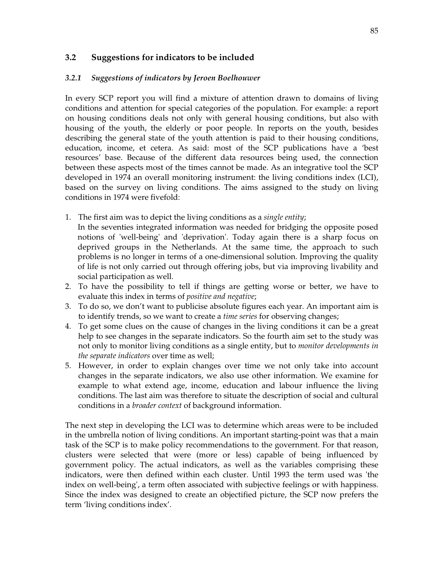## **3.2 Suggestions for indicators to be included**

#### *3.2.1 Suggestions of indicators by Jeroen Boelhouwer*

In every SCP report you will find a mixture of attention drawn to domains of living conditions and attention for special categories of the population. For example: a report on housing conditions deals not only with general housing conditions, but also with housing of the youth, the elderly or poor people. In reports on the youth, besides describing the general state of the youth attention is paid to their housing conditions, education, income, et cetera. As said: most of the SCP publications have a 'best resources' base. Because of the different data resources being used, the connection between these aspects most of the times cannot be made. As an integrative tool the SCP developed in 1974 an overall monitoring instrument: the living conditions index (LCI), based on the survey on living conditions. The aims assigned to the study on living conditions in 1974 were fivefold:

- 1. The first aim was to depict the living conditions as a *single entity*;
- In the seventies integrated information was needed for bridging the opposite posed notions of 'well-being' and 'deprivation'. Today again there is a sharp focus on deprived groups in the Netherlands. At the same time, the approach to such problems is no longer in terms of a one-dimensional solution. Improving the quality of life is not only carried out through offering jobs, but via improving livability and social participation as well.
- 2. To have the possibility to tell if things are getting worse or better, we have to evaluate this index in terms of *positive and negative*;
- 3. To do so, we don't want to publicise absolute figures each year. An important aim is to identify trends, so we want to create a *time series* for observing changes;
- 4. To get some clues on the cause of changes in the living conditions it can be a great help to see changes in the separate indicators. So the fourth aim set to the study was not only to monitor living conditions as a single entity, but to *monitor developments in the separate indicators* over time as well;
- 5. However, in order to explain changes over time we not only take into account changes in the separate indicators, we also use other information. We examine for example to what extend age, income, education and labour influence the living conditions. The last aim was therefore to situate the description of social and cultural conditions in a *broader context* of background information.

The next step in developing the LCI was to determine which areas were to be included in the umbrella notion of living conditions. An important starting-point was that a main task of the SCP is to make policy recommendations to the government. For that reason, clusters were selected that were (more or less) capable of being influenced by government policy. The actual indicators, as well as the variables comprising these indicators, were then defined within each cluster. Until 1993 the term used was 'the index on well-being', a term often associated with subjective feelings or with happiness. Since the index was designed to create an objectified picture, the SCP now prefers the term 'living conditions index'.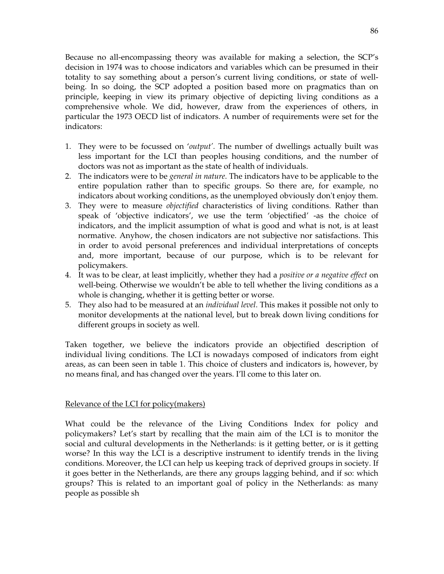Because no all-encompassing theory was available for making a selection, the SCP's decision in 1974 was to choose indicators and variables which can be presumed in their totality to say something about a person's current living conditions, or state of wellbeing. In so doing, the SCP adopted a position based more on pragmatics than on principle, keeping in view its primary objective of depicting living conditions as a comprehensive whole. We did, however, draw from the experiences of others, in particular the 1973 OECD list of indicators. A number of requirements were set for the indicators:

- 1. They were to be focussed on '*output'.* The number of dwellings actually built was less important for the LCI than peoples housing conditions, and the number of doctors was not as important as the state of health of individuals.
- 2. The indicators were to be *general in nature*. The indicators have to be applicable to the entire population rather than to specific groups. So there are, for example, no indicators about working conditions, as the unemployed obviously don't enjoy them.
- 3. They were to measure *objectified* characteristics of living conditions. Rather than speak of 'objective indicators', we use the term 'objectified' -as the choice of indicators, and the implicit assumption of what is good and what is not, is at least normative. Anyhow, the chosen indicators are not subjective nor satisfactions. This in order to avoid personal preferences and individual interpretations of concepts and, more important, because of our purpose, which is to be relevant for policymakers.
- 4. It was to be clear, at least implicitly, whether they had a *positive or a negative effect* on well-being. Otherwise we wouldn't be able to tell whether the living conditions as a whole is changing, whether it is getting better or worse.
- 5. They also had to be measured at an *individual level*. This makes it possible not only to monitor developments at the national level, but to break down living conditions for different groups in society as well.

Taken together, we believe the indicators provide an objectified description of individual living conditions. The LCI is nowadays composed of indicators from eight areas, as can been seen in table 1. This choice of clusters and indicators is, however, by no means final, and has changed over the years. I'll come to this later on.

#### Relevance of the LCI for policy(makers)

What could be the relevance of the Living Conditions Index for policy and policymakers? Let's start by recalling that the main aim of the LCI is to monitor the social and cultural developments in the Netherlands: is it getting better, or is it getting worse? In this way the LCI is a descriptive instrument to identify trends in the living conditions. Moreover, the LCI can help us keeping track of deprived groups in society. If it goes better in the Netherlands, are there any groups lagging behind, and if so: which groups? This is related to an important goal of policy in the Netherlands: as many people as possible sh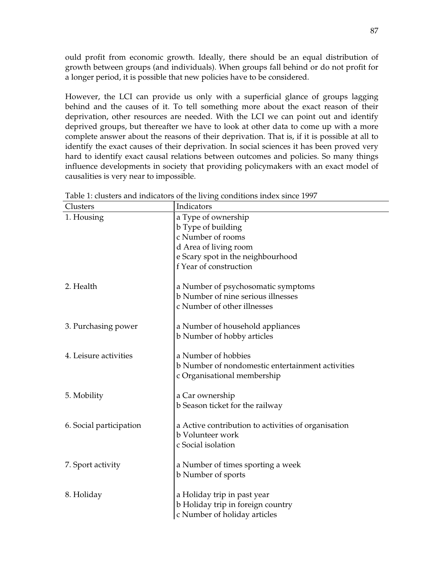ould profit from economic growth. Ideally, there should be an equal distribution of growth between groups (and individuals). When groups fall behind or do not profit for a longer period, it is possible that new policies have to be considered.

However, the LCI can provide us only with a superficial glance of groups lagging behind and the causes of it. To tell something more about the exact reason of their deprivation, other resources are needed. With the LCI we can point out and identify deprived groups, but thereafter we have to look at other data to come up with a more complete answer about the reasons of their deprivation. That is, if it is possible at all to identify the exact causes of their deprivation. In social sciences it has been proved very hard to identify exact causal relations between outcomes and policies. So many things influence developments in society that providing policymakers with an exact model of causalities is very near to impossible.

| Clusters                | Indicators                                                                                             |
|-------------------------|--------------------------------------------------------------------------------------------------------|
| 1. Housing              | a Type of ownership                                                                                    |
|                         | b Type of building                                                                                     |
|                         | c Number of rooms                                                                                      |
|                         | d Area of living room                                                                                  |
|                         | e Scary spot in the neighbourhood                                                                      |
|                         | f Year of construction                                                                                 |
| 2. Health               | a Number of psychosomatic symptoms<br>b Number of nine serious illnesses                               |
|                         | c Number of other illnesses                                                                            |
| 3. Purchasing power     | a Number of household appliances<br>b Number of hobby articles                                         |
| 4. Leisure activities   | a Number of hobbies<br>b Number of nondomestic entertainment activities<br>c Organisational membership |
| 5. Mobility             | a Car ownership<br>b Season ticket for the railway                                                     |
| 6. Social participation | a Active contribution to activities of organisation<br>b Volunteer work<br>c Social isolation          |
| 7. Sport activity       | a Number of times sporting a week<br>b Number of sports                                                |
| 8. Holiday              | a Holiday trip in past year<br>b Holiday trip in foreign country<br>c Number of holiday articles       |

Table 1: clusters and indicators of the living conditions index since 1997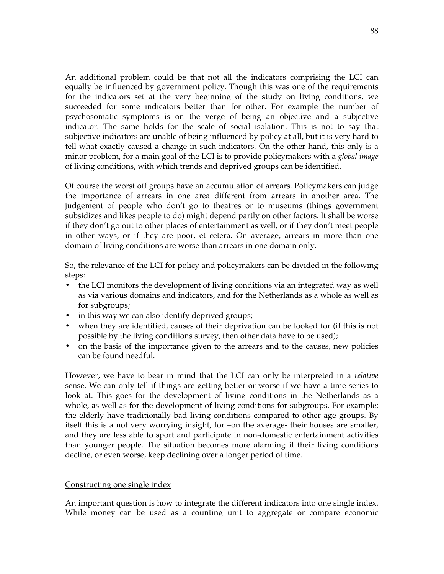An additional problem could be that not all the indicators comprising the LCI can equally be influenced by government policy. Though this was one of the requirements for the indicators set at the very beginning of the study on living conditions, we succeeded for some indicators better than for other. For example the number of psychosomatic symptoms is on the verge of being an objective and a subjective indicator. The same holds for the scale of social isolation. This is not to say that subjective indicators are unable of being influenced by policy at all, but it is very hard to tell what exactly caused a change in such indicators. On the other hand, this only is a minor problem, for a main goal of the LCI is to provide policymakers with a *global image* of living conditions, with which trends and deprived groups can be identified.

Of course the worst off groups have an accumulation of arrears. Policymakers can judge the importance of arrears in one area different from arrears in another area. The judgement of people who don't go to theatres or to museums (things government subsidizes and likes people to do) might depend partly on other factors. It shall be worse if they don't go out to other places of entertainment as well, or if they don't meet people in other ways, or if they are poor, et cetera. On average, arrears in more than one domain of living conditions are worse than arrears in one domain only.

So, the relevance of the LCI for policy and policymakers can be divided in the following steps:

- the LCI monitors the development of living conditions via an integrated way as well as via various domains and indicators, and for the Netherlands as a whole as well as for subgroups;
- in this way we can also identify deprived groups;
- when they are identified, causes of their deprivation can be looked for (if this is not possible by the living conditions survey, then other data have to be used);
- on the basis of the importance given to the arrears and to the causes, new policies can be found needful.

However, we have to bear in mind that the LCI can only be interpreted in a *relative* sense. We can only tell if things are getting better or worse if we have a time series to look at. This goes for the development of living conditions in the Netherlands as a whole, as well as for the development of living conditions for subgroups. For example: the elderly have traditionally bad living conditions compared to other age groups. By itself this is a not very worrying insight, for –on the average- their houses are smaller, and they are less able to sport and participate in non-domestic entertainment activities than younger people. The situation becomes more alarming if their living conditions decline, or even worse, keep declining over a longer period of time.

#### Constructing one single index

An important question is how to integrate the different indicators into one single index. While money can be used as a counting unit to aggregate or compare economic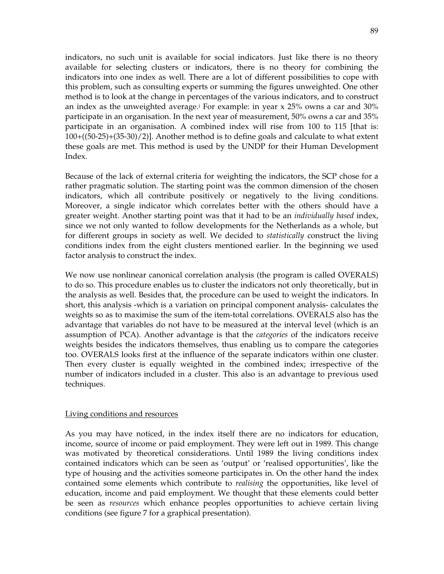indicators, no such unit is available for social indicators. Just like there is no theory available for selecting clusters or indicators, there is no theory for combining the indicators into one index as well. There are a lot of different possibilities to cope with this problem, such as consulting experts or summing the figures unweighted. One other method is to look at the change in percentages of the various indicators, and to construct an index as the unweighted average.<sup>i</sup> For example: in year x 25% owns a car and 30% participate in an organisation. In the next year of measurement, 50% owns a car and 35% participate in an organisation. A combined index will rise from 100 to 115 [that is: 100+((50-25)+(35-30)/2)]. Another method is to define goals and calculate to what extent these goals are met. This method is used by the UNDP for their Human Development Index.

Because of the lack of external criteria for weighting the indicators, the SCP chose for a rather pragmatic solution. The starting point was the common dimension of the chosen indicators, which all contribute positively or negatively to the living conditions. Moreover, a single indicator which correlates better with the others should have a greater weight. Another starting point was that it had to be an *individually based* index, since we not only wanted to follow developments for the Netherlands as a whole, but for different groups in society as well. We decided to *statistically* construct the living conditions index from the eight clusters mentioned earlier. In the beginning we used factor analysis to construct the index.

We now use nonlinear canonical correlation analysis (the program is called OVERALS) to do so. This procedure enables us to cluster the indicators not only theoretically, but in the analysis as well. Besides that, the procedure can be used to weight the indicators. In short, this analysis -which is a variation on principal component analysis- calculates the weights so as to maximise the sum of the item-total correlations. OVERALS also has the advantage that variables do not have to be measured at the interval level (which is an assumption of PCA). Another advantage is that the *categories* of the indicators receive weights besides the indicators themselves, thus enabling us to compare the categories too. OVERALS looks first at the influence of the separate indicators within one cluster. Then every cluster is equally weighted in the combined index; irrespective of the number of indicators included in a cluster. This also is an advantage to previous used techniques.

#### Living conditions and resources

As you may have noticed, in the index itself there are no indicators for education, income, source of income or paid employment. They were left out in 1989. This change was motivated by theoretical considerations. Until 1989 the living conditions index contained indicators which can be seen as 'output' or 'realised opportunities', like the type of housing and the activities someone participates in. On the other hand the index contained some elements which contribute to *realising* the opportunities, like level of education, income and paid employment. We thought that these elements could better be seen as *resources* which enhance peoples opportunities to achieve certain living conditions (see figure 7 for a graphical presentation).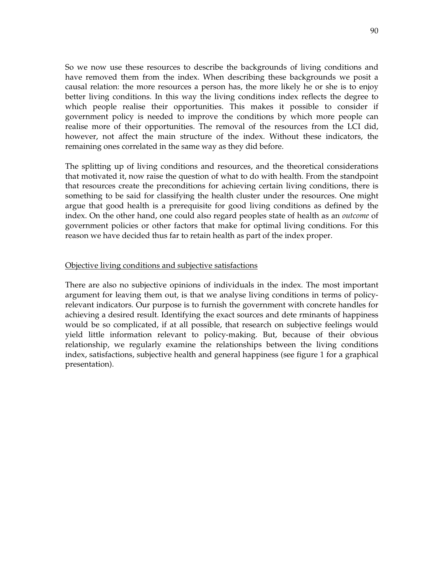So we now use these resources to describe the backgrounds of living conditions and have removed them from the index. When describing these backgrounds we posit a causal relation: the more resources a person has, the more likely he or she is to enjoy better living conditions. In this way the living conditions index reflects the degree to which people realise their opportunities. This makes it possible to consider if government policy is needed to improve the conditions by which more people can realise more of their opportunities. The removal of the resources from the LCI did, however, not affect the main structure of the index. Without these indicators, the remaining ones correlated in the same way as they did before.

The splitting up of living conditions and resources, and the theoretical considerations that motivated it, now raise the question of what to do with health. From the standpoint that resources create the preconditions for achieving certain living conditions, there is something to be said for classifying the health cluster under the resources. One might argue that good health is a prerequisite for good living conditions as defined by the index. On the other hand, one could also regard peoples state of health as an *outcome* of government policies or other factors that make for optimal living conditions. For this reason we have decided thus far to retain health as part of the index proper.

#### Objective living conditions and subjective satisfactions

There are also no subjective opinions of individuals in the index. The most important argument for leaving them out, is that we analyse living conditions in terms of policyrelevant indicators*.* Our purpose is to furnish the government with concrete handles for achieving a desired result. Identifying the exact sources and dete rminants of happiness would be so complicated, if at all possible, that research on subjective feelings would yield little information relevant to policy-making. But, because of their obvious relationship, we regularly examine the relationships between the living conditions index, satisfactions, subjective health and general happiness (see figure 1 for a graphical presentation).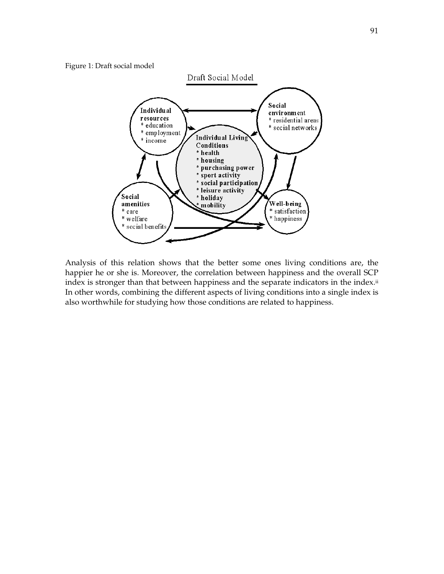#### Figure 1: Draft social model



Analysis of this relation shows that the better some ones living conditions are, the happier he or she is. Moreover, the correlation between happiness and the overall SCP index is stronger than that between happiness and the separate indicators in the index.<sup>ii</sup> In other words, combining the different aspects of living conditions into a single index is also worthwhile for studying how those conditions are related to happiness.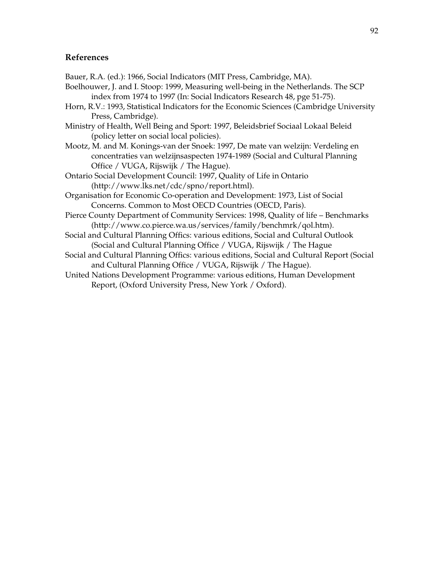#### **References**

Bauer, R.A. (ed.): 1966, Social Indicators (MIT Press, Cambridge, MA).

- Boelhouwer, J. and I. Stoop: 1999, Measuring well-being in the Netherlands. The SCP index from 1974 to 1997 (In: Social Indicators Research 48, pge 51-75).
- Horn, R.V.: 1993, Statistical Indicators for the Economic Sciences (Cambridge University Press, Cambridge).
- Ministry of Health, Well Being and Sport: 1997, Beleidsbrief Sociaal Lokaal Beleid (policy letter on social local policies).
- Mootz, M. and M. Konings-van der Snoek: 1997, De mate van welzijn: Verdeling en concentraties van welzijnsaspecten 1974-1989 (Social and Cultural Planning Office / VUGA, Rijswijk / The Hague).
- Ontario Social Development Council: 1997, Quality of Life in Ontario (http://www.lks.net/cdc/spno/report.html).
- Organisation for Economic Co-operation and Development: 1973, List of Social Concerns. Common to Most OECD Countries (OECD, Paris).
- Pierce County Department of Community Services: 1998, Quality of life Benchmarks (http://www.co.pierce.wa.us/services/family/benchmrk/qol.htm).
- Social and Cultural Planning Offics: various editions, Social and Cultural Outlook (Social and Cultural Planning Office / VUGA, Rijswijk / The Hague
- Social and Cultural Planning Offics: various editions, Social and Cultural Report (Social and Cultural Planning Office / VUGA, Rijswijk / The Hague).
- United Nations Development Programme: various editions, Human Development Report, (Oxford University Press, New York / Oxford).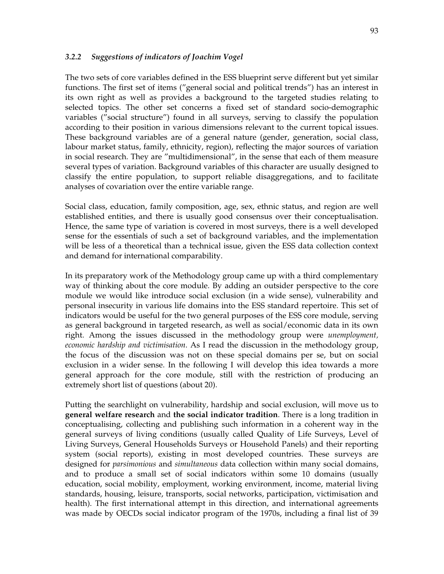The two sets of core variables defined in the ESS blueprint serve different but yet similar functions. The first set of items ("general social and political trends") has an interest in its own right as well as provides a background to the targeted studies relating to selected topics. The other set concerns a fixed set of standard socio-demographic variables ("social structure") found in all surveys, serving to classify the population according to their position in various dimensions relevant to the current topical issues. These background variables are of a general nature (gender, generation, social class, labour market status, family, ethnicity, region), reflecting the major sources of variation in social research. They are "multidimensional", in the sense that each of them measure several types of variation. Background variables of this character are usually designed to classify the entire population, to support reliable disaggregations, and to facilitate analyses of covariation over the entire variable range.

Social class, education, family composition, age, sex, ethnic status, and region are well established entities, and there is usually good consensus over their conceptualisation. Hence, the same type of variation is covered in most surveys, there is a well developed sense for the essentials of such a set of background variables, and the implementation will be less of a theoretical than a technical issue, given the ESS data collection context and demand for international comparability.

In its preparatory work of the Methodology group came up with a third complementary way of thinking about the core module. By adding an outsider perspective to the core module we would like introduce social exclusion (in a wide sense), vulnerability and personal insecurity in various life domains into the ESS standard repertoire. This set of indicators would be useful for the two general purposes of the ESS core module, serving as general background in targeted research, as well as social/economic data in its own right. Among the issues discussed in the methodology group were *unemployment, economic hardship and victimisation*. As I read the discussion in the methodology group, the focus of the discussion was not on these special domains per se, but on social exclusion in a wider sense. In the following I will develop this idea towards a more general approach for the core module, still with the restriction of producing an extremely short list of questions (about 20).

Putting the searchlight on vulnerability, hardship and social exclusion, will move us to **general welfare research** and **the social indicator tradition**. There is a long tradition in conceptualising, collecting and publishing such information in a coherent way in the general surveys of living conditions (usually called Quality of Life Surveys, Level of Living Surveys, General Households Surveys or Household Panels) and their reporting system (social reports), existing in most developed countries. These surveys are designed for *parsimonious* and *simultaneous* data collection within many social domains, and to produce a small set of social indicators within some 10 domains (usually education, social mobility, employment, working environment, income, material living standards, housing, leisure, transports, social networks, participation, victimisation and health). The first international attempt in this direction, and international agreements was made by OECDs social indicator program of the 1970s, including a final list of 39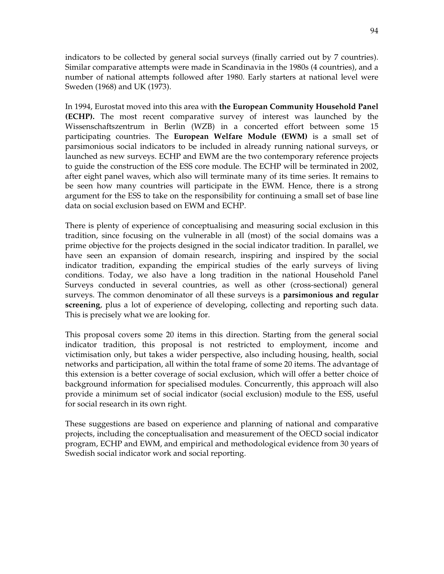indicators to be collected by general social surveys (finally carried out by 7 countries). Similar comparative attempts were made in Scandinavia in the 1980s (4 countries), and a number of national attempts followed after 1980. Early starters at national level were Sweden (1968) and UK (1973).

In 1994, Eurostat moved into this area with **the European Community Household Panel (ECHP).** The most recent comparative survey of interest was launched by the Wissenschaftszentrum in Berlin (WZB) in a concerted effort between some 15 participating countries. The **European Welfare Module (EWM)** is a small set of parsimonious social indicators to be included in already running national surveys, or launched as new surveys. ECHP and EWM are the two contemporary reference projects to guide the construction of the ESS core module. The ECHP will be terminated in 2002, after eight panel waves, which also will terminate many of its time series. It remains to be seen how many countries will participate in the EWM. Hence, there is a strong argument for the ESS to take on the responsibility for continuing a small set of base line data on social exclusion based on EWM and ECHP.

There is plenty of experience of conceptualising and measuring social exclusion in this tradition, since focusing on the vulnerable in all (most) of the social domains was a prime objective for the projects designed in the social indicator tradition. In parallel, we have seen an expansion of domain research, inspiring and inspired by the social indicator tradition, expanding the empirical studies of the early surveys of living conditions. Today, we also have a long tradition in the national Household Panel Surveys conducted in several countries, as well as other (cross-sectional) general surveys. The common denominator of all these surveys is a **parsimonious and regular screening**, plus a lot of experience of developing, collecting and reporting such data. This is precisely what we are looking for.

This proposal covers some 20 items in this direction. Starting from the general social indicator tradition, this proposal is not restricted to employment, income and victimisation only, but takes a wider perspective, also including housing, health, social networks and participation, all within the total frame of some 20 items. The advantage of this extension is a better coverage of social exclusion, which will offer a better choice of background information for specialised modules. Concurrently, this approach will also provide a minimum set of social indicator (social exclusion) module to the ESS, useful for social research in its own right.

These suggestions are based on experience and planning of national and comparative projects, including the conceptualisation and measurement of the OECD social indicator program, ECHP and EWM, and empirical and methodological evidence from 30 years of Swedish social indicator work and social reporting.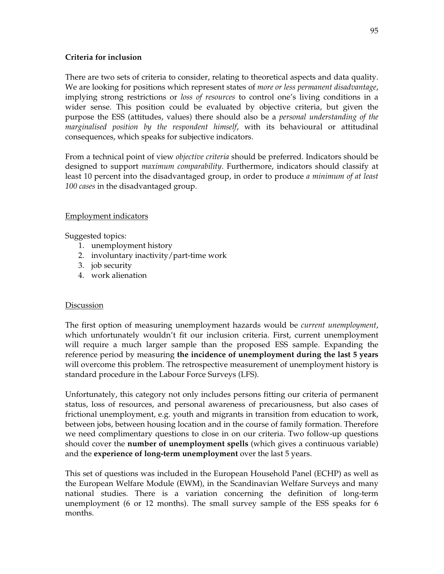#### **Criteria for inclusion**

There are two sets of criteria to consider, relating to theoretical aspects and data quality. We are looking for positions which represent states of *more or less permanent disadvantage*, implying strong restrictions or *loss of resources* to control one's living conditions in a wider sense. This position could be evaluated by objective criteria, but given the purpose the ESS (attitudes, values) there should also be a *personal understanding of the marginalised position by the respondent himself*, with its behavioural or attitudinal consequences, which speaks for subjective indicators.

From a technical point of view *objective criteria* should be preferred. Indicators should be designed to support *maximum comparability*. Furthermore, indicators should classify at least 10 percent into the disadvantaged group, in order to produce *a minimum of at least 100 cases* in the disadvantaged group.

## Employment indicators

Suggested topics:

- 1. unemployment history
- 2. involuntary inactivity/part-time work
- 3. job security
- 4. work alienation

## **Discussion**

The first option of measuring unemployment hazards would be *current unemployment*, which unfortunately wouldn't fit our inclusion criteria. First, current unemployment will require a much larger sample than the proposed ESS sample. Expanding the reference period by measuring **the incidence of unemployment during the last 5 years** will overcome this problem. The retrospective measurement of unemployment history is standard procedure in the Labour Force Surveys (LFS).

Unfortunately, this category not only includes persons fitting our criteria of permanent status, loss of resources, and personal awareness of precariousness, but also cases of frictional unemployment, e.g. youth and migrants in transition from education to work, between jobs, between housing location and in the course of family formation. Therefore we need complimentary questions to close in on our criteria. Two follow-up questions should cover the **number of unemployment spells** (which gives a continuous variable) and the **experience of long-term unemployment** over the last 5 years.

This set of questions was included in the European Household Panel (ECHP) as well as the European Welfare Module (EWM), in the Scandinavian Welfare Surveys and many national studies. There is a variation concerning the definition of long-term unemployment (6 or 12 months). The small survey sample of the ESS speaks for 6 months.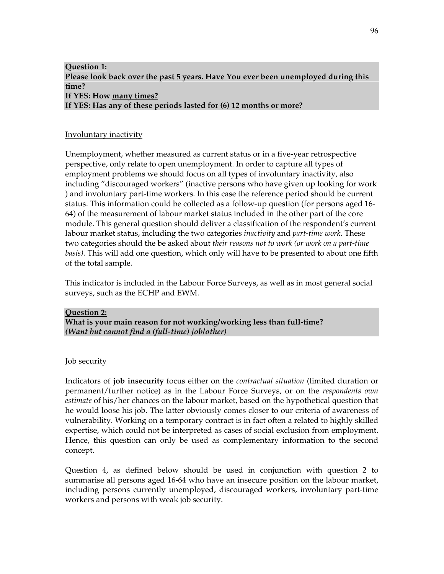#### **Question 1: Please look back over the past 5 years. Have You ever been unemployed during this time? If YES: How many times? If YES: Has any of these periods lasted for (6) 12 months or more?**

#### Involuntary inactivity

Unemployment, whether measured as current status or in a five-year retrospective perspective, only relate to open unemployment. In order to capture all types of employment problems we should focus on all types of involuntary inactivity, also including "discouraged workers" (inactive persons who have given up looking for work ) and involuntary part-time workers. In this case the reference period should be current status. This information could be collected as a follow-up question (for persons aged 16- 64) of the measurement of labour market status included in the other part of the core module. This general question should deliver a classification of the respondent's current labour market status, including the two categories *inactivity* and *part-time work*. These two categories should the be asked about *their reasons not to work (or work on a part-time basis).* This will add one question, which only will have to be presented to about one fifth of the total sample.

This indicator is included in the Labour Force Surveys, as well as in most general social surveys, such as the ECHP and EWM.

#### **Question 2:**

**What is your main reason for not working/working less than full-time?**  *(Want but cannot find a (full-time) job/other)* 

#### Job security

Indicators of **job insecurity** focus either on the *contractual situation* (limited duration or permanent/further notice) as in the Labour Force Surveys, or on the *respondents own estimate* of his/her chances on the labour market, based on the hypothetical question that he would loose his job. The latter obviously comes closer to our criteria of awareness of vulnerability. Working on a temporary contract is in fact often a related to highly skilled expertise, which could not be interpreted as cases of social exclusion from employment. Hence, this question can only be used as complementary information to the second concept.

Question 4, as defined below should be used in conjunction with question 2 to summarise all persons aged 16-64 who have an insecure position on the labour market, including persons currently unemployed, discouraged workers, involuntary part-time workers and persons with weak job security.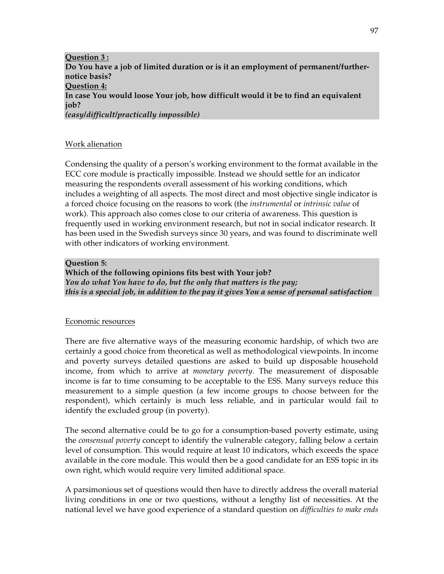**Question 3 : Do You have a job of limited duration or is it an employment of permanent/furthernotice basis? Question 4: In case You would loose Your job, how difficult would it be to find an equivalent job?**  *(easy/difficult/practically impossible)* 

#### Work alienation

Condensing the quality of a person's working environment to the format available in the ECC core module is practically impossible. Instead we should settle for an indicator measuring the respondents overall assessment of his working conditions, which includes a weighting of all aspects. The most direct and most objective single indicator is a forced choice focusing on the reasons to work (the *instrumental* or *intrinsic value* of work). This approach also comes close to our criteria of awareness. This question is frequently used in working environment research, but not in social indicator research. It has been used in the Swedish surveys since 30 years, and was found to discriminate well with other indicators of working environment.

#### **Question 5:**

**Which of the following opinions fits best with Your job?**  *You do what You have to do, but the only that matters is the pay; this is a special job, in addition to the pay it gives You a sense of personal satisfaction* 

#### Economic resources

There are five alternative ways of the measuring economic hardship, of which two are certainly a good choice from theoretical as well as methodological viewpoints. In income and poverty surveys detailed questions are asked to build up disposable household income, from which to arrive at *monetary poverty*. The measurement of disposable income is far to time consuming to be acceptable to the ESS. Many surveys reduce this measurement to a simple question (a few income groups to choose between for the respondent), which certainly is much less reliable, and in particular would fail to identify the excluded group (in poverty).

The second alternative could be to go for a consumption-based poverty estimate, using the *consensual poverty* concept to identify the vulnerable category, falling below a certain level of consumption. This would require at least 10 indicators, which exceeds the space available in the core module. This would then be a good candidate for an ESS topic in its own right, which would require very limited additional space.

A parsimonious set of questions would then have to directly address the overall material living conditions in one or two questions, without a lengthy list of necessities. At the national level we have good experience of a standard question on *difficulties to make ends*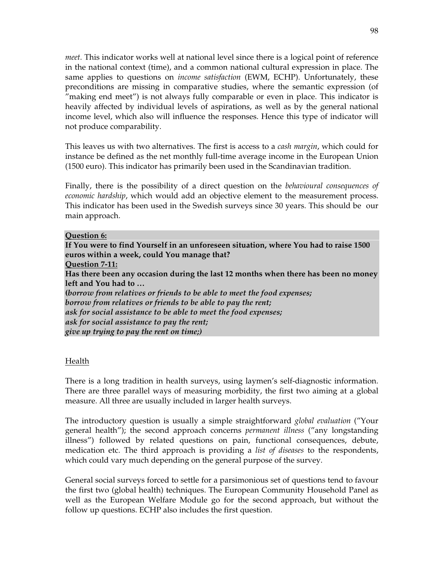*meet.* This indicator works well at national level since there is a logical point of reference in the national context (time), and a common national cultural expression in place. The same applies to questions on *income satisfaction* (EWM, ECHP). Unfortunately, these preconditions are missing in comparative studies, where the semantic expression (of "making end meet") is not always fully comparable or even in place. This indicator is heavily affected by individual levels of aspirations, as well as by the general national income level, which also will influence the responses. Hence this type of indicator will not produce comparability.

This leaves us with two alternatives. The first is access to a *cash margin*, which could for instance be defined as the net monthly full-time average income in the European Union (1500 euro). This indicator has primarily been used in the Scandinavian tradition.

Finally, there is the possibility of a direct question on the *behavioural consequences of economic hardship*, which would add an objective element to the measurement process. This indicator has been used in the Swedish surveys since 30 years. This should be our main approach.

#### **Question 6:**

**If You were to find Yourself in an unforeseen situation, where You had to raise 1500 euros within a week, could You manage that? Question 7-11: Has there been any occasion during the last 12 months when there has been no money left and You had to … (***borrow from relatives or friends to be able to meet the food expenses; borrow from relatives or friends to be able to pay the rent; ask for social assistance to be able to meet the food expenses; ask for social assistance to pay the rent; give up trying to pay the rent on time;)*

#### Health

There is a long tradition in health surveys, using laymen's self-diagnostic information. There are three parallel ways of measuring morbidity, the first two aiming at a global measure. All three are usually included in larger health surveys.

The introductory question is usually a simple straightforward *global evaluation* ("Your general health"); the second approach concerns *permanent illness* ("any longstanding illness") followed by related questions on pain, functional consequences, debute, medication etc. The third approach is providing a *list of diseases* to the respondents, which could vary much depending on the general purpose of the survey.

General social surveys forced to settle for a parsimonious set of questions tend to favour the first two (global health) techniques. The European Community Household Panel as well as the European Welfare Module go for the second approach, but without the follow up questions. ECHP also includes the first question.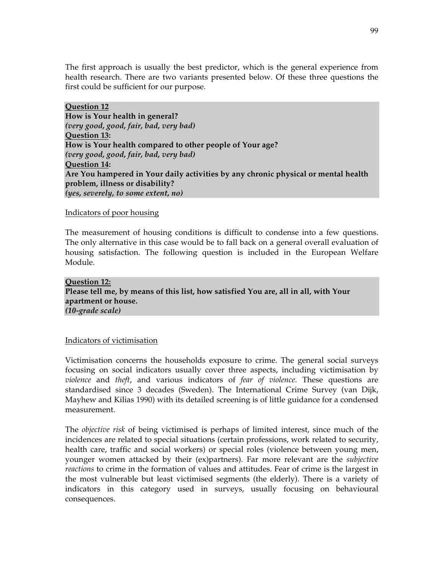The first approach is usually the best predictor, which is the general experience from health research. There are two variants presented below. Of these three questions the first could be sufficient for our purpose.

**Question 12 How is Your health in general?**  *(very good, good, fair, bad, very bad)* **Question 13: How is Your health compared to other people of Your age?**  *(very good, good, fair, bad, very bad)*  **Question 14: Are You hampered in Your daily activities by any chronic physical or mental health problem, illness or disability?**  *(yes, severely, to some extent, no)* 

#### Indicators of poor housing

The measurement of housing conditions is difficult to condense into a few questions. The only alternative in this case would be to fall back on a general overall evaluation of housing satisfaction. The following question is included in the European Welfare Module.

**Question 12: Please tell me, by means of this list, how satisfied You are, all in all, with Your apartment or house.**  *(10-grade scale)*

#### Indicators of victimisation

Victimisation concerns the households exposure to crime. The general social surveys focusing on social indicators usually cover three aspects, including victimisation by *violence* and *theft*, and various indicators of *fear of violence*. These questions are standardised since 3 decades (Sweden). The International Crime Survey (van Dijk, Mayhew and Kilias 1990) with its detailed screening is of little guidance for a condensed measurement.

The *objective risk* of being victimised is perhaps of limited interest, since much of the incidences are related to special situations (certain professions, work related to security, health care, traffic and social workers) or special roles (violence between young men, younger women attacked by their (ex)partners). Far more relevant are the *subjective reactions* to crime in the formation of values and attitudes. Fear of crime is the largest in the most vulnerable but least victimised segments (the elderly). There is a variety of indicators in this category used in surveys, usually focusing on behavioural consequences.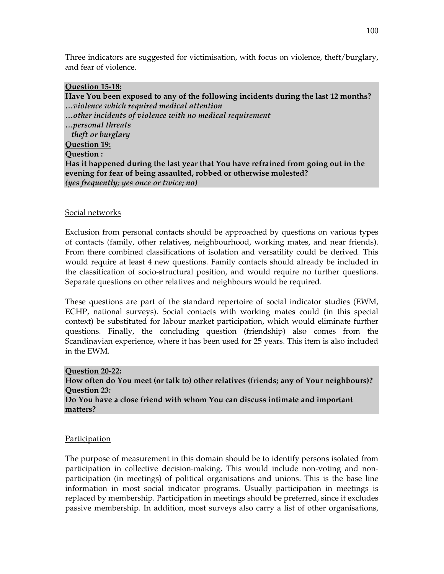Three indicators are suggested for victimisation, with focus on violence, theft/burglary, and fear of violence.

#### **Question 15-18:**

**Have You been exposed to any of the following incidents during the last 12 months?**  *…violence which required medical attention …other incidents of violence with no medical requirement …personal threats theft or burglary*  **Question 19: Question : Has it happened during the last year that You have refrained from going out in the evening for fear of being assaulted, robbed or otherwise molested?**  *(yes frequently; yes once or twice; no)*

#### Social networks

Exclusion from personal contacts should be approached by questions on various types of contacts (family, other relatives, neighbourhood, working mates, and near friends). From there combined classifications of isolation and versatility could be derived. This would require at least 4 new questions. Family contacts should already be included in the classification of socio-structural position, and would require no further questions. Separate questions on other relatives and neighbours would be required.

These questions are part of the standard repertoire of social indicator studies (EWM, ECHP, national surveys). Social contacts with working mates could (in this special context) be substituted for labour market participation, which would eliminate further questions. Finally, the concluding question (friendship) also comes from the Scandinavian experience, where it has been used for 25 years. This item is also included in the EWM.

**Question 20-22: How often do You meet (or talk to) other relatives (friends; any of Your neighbours)? Question 23: Do You have a close friend with whom You can discuss intimate and important matters?**

#### Participation

The purpose of measurement in this domain should be to identify persons isolated from participation in collective decision-making. This would include non-voting and nonparticipation (in meetings) of political organisations and unions. This is the base line information in most social indicator programs. Usually participation in meetings is replaced by membership. Participation in meetings should be preferred, since it excludes passive membership. In addition, most surveys also carry a list of other organisations,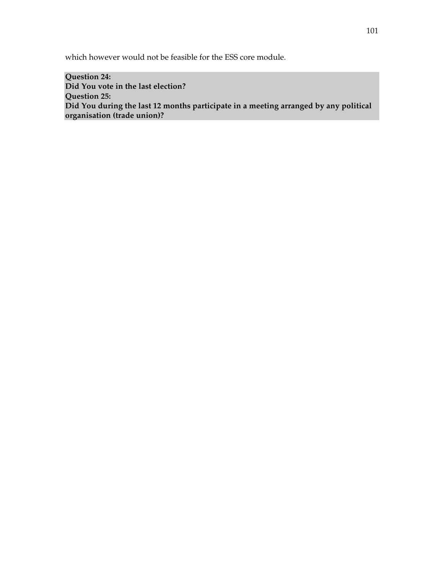which however would not be feasible for the ESS core module.

**Question 24: Did You vote in the last election? Question 25: Did You during the last 12 months participate in a meeting arranged by any political organisation (trade union)?**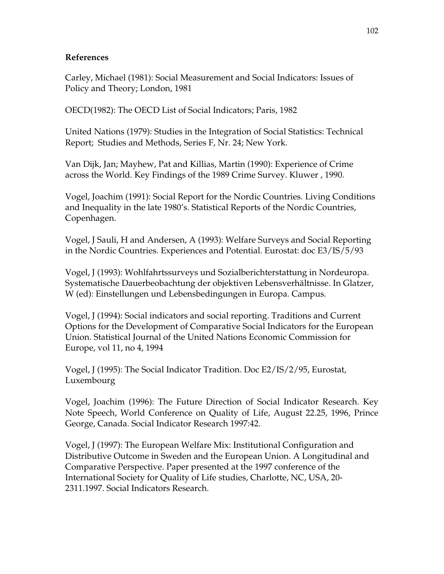## **References**

Carley, Michael (1981): Social Measurement and Social Indicators: Issues of Policy and Theory; London, 1981

OECD(1982): The OECD List of Social Indicators; Paris, 1982

United Nations (1979): Studies in the Integration of Social Statistics: Technical Report; Studies and Methods, Series F, Nr. 24; New York.

Van Dijk, Jan; Mayhew, Pat and Killias, Martin (1990): Experience of Crime across the World. Key Findings of the 1989 Crime Survey. Kluwer , 1990.

Vogel, Joachim (1991): Social Report for the Nordic Countries. Living Conditions and Inequality in the late 1980's. Statistical Reports of the Nordic Countries, Copenhagen.

Vogel, J Sauli, H and Andersen, A (1993): Welfare Surveys and Social Reporting in the Nordic Countries. Experiences and Potential. Eurostat: doc E3/IS/5/93

Vogel, J (1993): Wohlfahrtssurveys und Sozialberichterstattung in Nordeuropa. Systematische Dauerbeobachtung der objektiven Lebensverhältnisse. In Glatzer, W (ed): Einstellungen und Lebensbedingungen in Europa. Campus.

Vogel, J (1994): Social indicators and social reporting. Traditions and Current Options for the Development of Comparative Social Indicators for the European Union. Statistical Journal of the United Nations Economic Commission for Europe, vol 11, no 4, 1994

Vogel, J (1995): The Social Indicator Tradition. Doc E2/IS/2/95, Eurostat, Luxembourg

Vogel, Joachim (1996): The Future Direction of Social Indicator Research. Key Note Speech, World Conference on Quality of Life, August 22.25, 1996, Prince George, Canada. Social Indicator Research 1997:42.

Vogel, J (1997): The European Welfare Mix: Institutional Configuration and Distributive Outcome in Sweden and the European Union. A Longitudinal and Comparative Perspective. Paper presented at the 1997 conference of the International Society for Quality of Life studies, Charlotte, NC, USA, 20- 2311.1997. Social Indicators Research.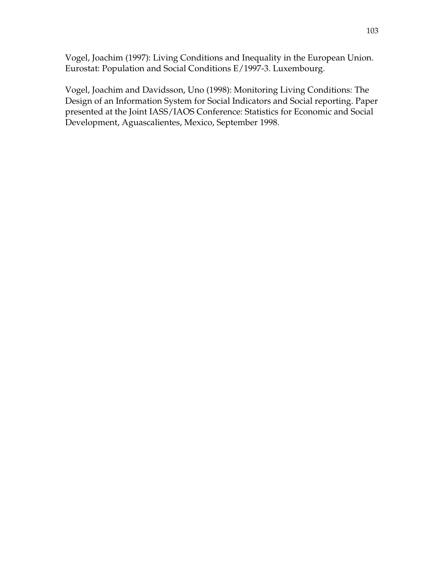Vogel, Joachim (1997): Living Conditions and Inequality in the European Union. Eurostat: Population and Social Conditions E/1997-3. Luxembourg.

Vogel, Joachim and Davidsson, Uno (1998): Monitoring Living Conditions: The Design of an Information System for Social Indicators and Social reporting. Paper presented at the Joint IASS/IAOS Conference: Statistics for Economic and Social Development, Aguascalientes, Mexico, September 1998.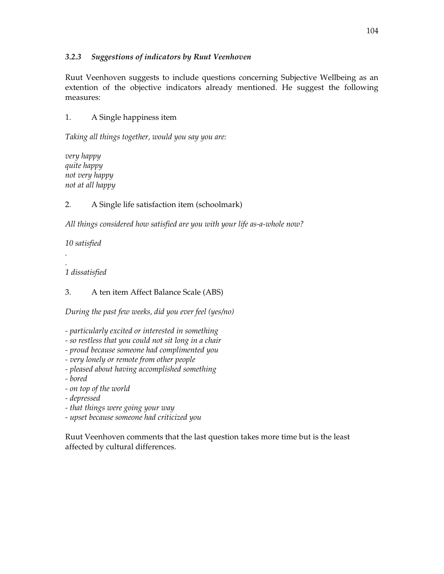## *3.2.3 Suggestions of indicators by Ruut Veenhoven*

Ruut Veenhoven suggests to include questions concerning Subjective Wellbeing as an extention of the objective indicators already mentioned. He suggest the following measures:

## 1. A Single happiness item

*Taking all things together, would you say you are:* 

*very happy quite happy not very happy not at all happy* 

## 2. A Single life satisfaction item (schoolmark)

*All things considered how satisfied are you with your life as-a-whole now?* 

*10 satisfied* 

*.* 

*. 1 dissatisfied* 

## 3. A ten item Affect Balance Scale (ABS)

*During the past few weeks, did you ever feel (yes/no)* 

- *particularly excited or interested in something*
- *so restless that you could not sit long in a chair*
- *proud because someone had complimented you*
- *very lonely or remote from other people*
- *pleased about having accomplished something*

*- bored* 

- *on top of the world*
- *depressed*
- *that things were going your way*
- *upset because someone had criticized you*

Ruut Veenhoven comments that the last question takes more time but is the least affected by cultural differences.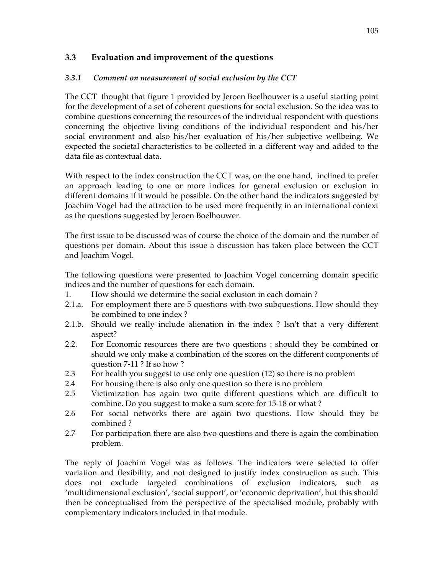## **3.3 Evaluation and improvement of the questions**

## *3.3.1 Comment on measurement of social exclusion by the CCT*

The CCT thought that figure 1 provided by Jeroen Boelhouwer is a useful starting point for the development of a set of coherent questions for social exclusion. So the idea was to combine questions concerning the resources of the individual respondent with questions concerning the objective living conditions of the individual respondent and his/her social environment and also his/her evaluation of his/her subjective wellbeing. We expected the societal characteristics to be collected in a different way and added to the data file as contextual data.

With respect to the index construction the CCT was, on the one hand, inclined to prefer an approach leading to one or more indices for general exclusion or exclusion in different domains if it would be possible. On the other hand the indicators suggested by Joachim Vogel had the attraction to be used more frequently in an international context as the questions suggested by Jeroen Boelhouwer.

The first issue to be discussed was of course the choice of the domain and the number of questions per domain. About this issue a discussion has taken place between the CCT and Joachim Vogel.

The following questions were presented to Joachim Vogel concerning domain specific indices and the number of questions for each domain.

- 1. How should we determine the social exclusion in each domain ?
- 2.1.a. For employment there are 5 questions with two subquestions. How should they be combined to one index ?
- 2.1.b. Should we really include alienation in the index ? Isn't that a very different aspect?
- 2.2. For Economic resources there are two questions : should they be combined or should we only make a combination of the scores on the different components of question 7-11 ? If so how ?
- 2.3 For health you suggest to use only one question (12) so there is no problem
- 2.4 For housing there is also only one question so there is no problem
- 2.5 Victimization has again two quite different questions which are difficult to combine. Do you suggest to make a sum score for 15-18 or what ?
- 2.6 For social networks there are again two questions. How should they be combined ?
- 2.7 For participation there are also two questions and there is again the combination problem.

The reply of Joachim Vogel was as follows. The indicators were selected to offer variation and flexibility, and not designed to justify index construction as such. This does not exclude targeted combinations of exclusion indicators, such as 'multidimensional exclusion', 'social support', or 'economic deprivation', but this should then be conceptualised from the perspective of the specialised module, probably with complementary indicators included in that module.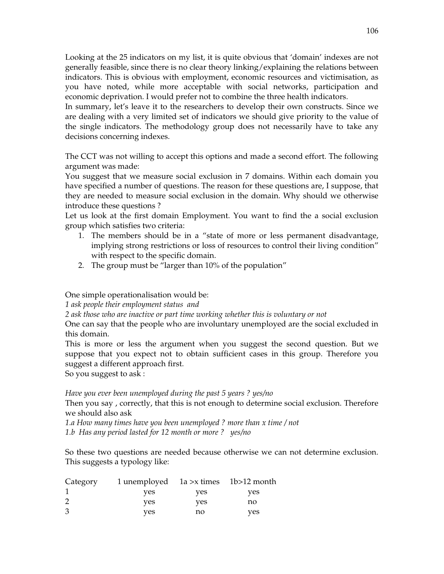Looking at the 25 indicators on my list, it is quite obvious that 'domain' indexes are not generally feasible, since there is no clear theory linking/explaining the relations between indicators. This is obvious with employment, economic resources and victimisation, as you have noted, while more acceptable with social networks, participation and economic deprivation. I would prefer not to combine the three health indicators.

In summary, let's leave it to the researchers to develop their own constructs. Since we are dealing with a very limited set of indicators we should give priority to the value of the single indicators. The methodology group does not necessarily have to take any decisions concerning indexes.

The CCT was not willing to accept this options and made a second effort. The following argument was made:

You suggest that we measure social exclusion in 7 domains. Within each domain you have specified a number of questions. The reason for these questions are, I suppose, that they are needed to measure social exclusion in the domain. Why should we otherwise introduce these questions ?

Let us look at the first domain Employment. You want to find the a social exclusion group which satisfies two criteria:

- 1. The members should be in a "state of more or less permanent disadvantage, implying strong restrictions or loss of resources to control their living condition" with respect to the specific domain.
- 2. The group must be "larger than 10% of the population"

One simple operationalisation would be:

*1 ask people their employment status and* 

*2 ask those who are inactive or part time working whether this is voluntary or not* 

One can say that the people who are involuntary unemployed are the social excluded in this domain.

This is more or less the argument when you suggest the second question. But we suppose that you expect not to obtain sufficient cases in this group. Therefore you suggest a different approach first.

So you suggest to ask :

*Have you ever been unemployed during the past 5 years ? yes/no* 

Then you say , correctly, that this is not enough to determine social exclusion. Therefore we should also ask

*1.a How many times have you been unemployed ? more than x time / not* 

*1.b Has any period lasted for 12 month or more ? yes/no* 

So these two questions are needed because otherwise we can not determine exclusion. This suggests a typology like:

| Category | 1 unemployed $1a > x$ times $1b > 12$ month |     |     |
|----------|---------------------------------------------|-----|-----|
|          | ves                                         | yes | yes |
|          | yes                                         | yes | no  |
| 3        | ves                                         | no  | ves |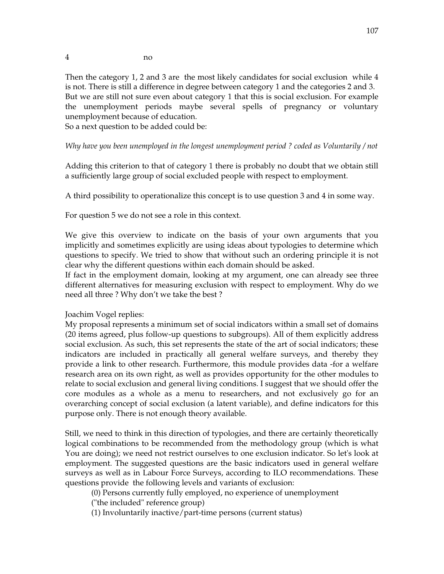Then the category 1, 2 and 3 are the most likely candidates for social exclusion while 4 is not. There is still a difference in degree between category 1 and the categories 2 and 3. But we are still not sure even about category 1 that this is social exclusion. For example the unemployment periods maybe several spells of pregnancy or voluntary unemployment because of education.

So a next question to be added could be:

4 no

#### *Why have you been unemployed in the longest unemployment period ? coded as Voluntarily / not*

Adding this criterion to that of category 1 there is probably no doubt that we obtain still a sufficiently large group of social excluded people with respect to employment.

A third possibility to operationalize this concept is to use question 3 and 4 in some way.

For question 5 we do not see a role in this context.

We give this overview to indicate on the basis of your own arguments that you implicitly and sometimes explicitly are using ideas about typologies to determine which questions to specify. We tried to show that without such an ordering principle it is not clear why the different questions within each domain should be asked.

If fact in the employment domain, looking at my argument, one can already see three different alternatives for measuring exclusion with respect to employment. Why do we need all three ? Why don't we take the best ?

#### Joachim Vogel replies:

My proposal represents a minimum set of social indicators within a small set of domains (20 items agreed, plus follow-up questions to subgroups). All of them explicitly address social exclusion. As such, this set represents the state of the art of social indicators; these indicators are included in practically all general welfare surveys, and thereby they provide a link to other research. Furthermore, this module provides data -for a welfare research area on its own right, as well as provides opportunity for the other modules to relate to social exclusion and general living conditions. I suggest that we should offer the core modules as a whole as a menu to researchers, and not exclusively go for an overarching concept of social exclusion (a latent variable), and define indicators for this purpose only. There is not enough theory available.

Still, we need to think in this direction of typologies, and there are certainly theoretically logical combinations to be recommended from the methodology group (which is what You are doing); we need not restrict ourselves to one exclusion indicator. So let's look at employment. The suggested questions are the basic indicators used in general welfare surveys as well as in Labour Force Surveys, according to ILO recommendations. These questions provide the following levels and variants of exclusion:

(0) Persons currently fully employed, no experience of unemployment

("the included" reference group)

(1) Involuntarily inactive/part-time persons (current status)

107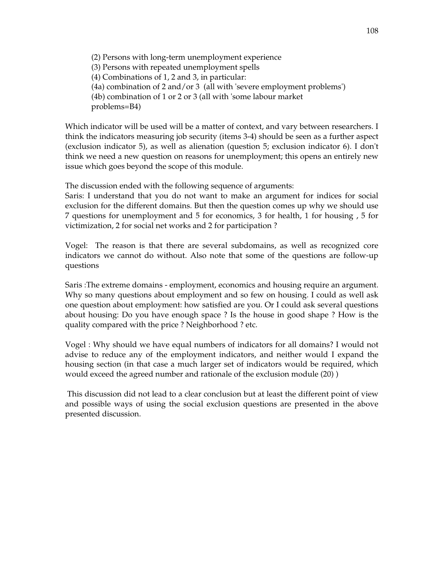(2) Persons with long-term unemployment experience (3) Persons with repeated unemployment spells (4) Combinations of 1, 2 and 3, in particular: (4a) combination of 2 and/or 3 (all with 'severe employment problems') (4b) combination of 1 or 2 or 3 (all with 'some labour market problems=B4)

Which indicator will be used will be a matter of context, and vary between researchers. I think the indicators measuring job security (items 3-4) should be seen as a further aspect (exclusion indicator 5), as well as alienation (question 5; exclusion indicator 6). I don't think we need a new question on reasons for unemployment; this opens an entirely new issue which goes beyond the scope of this module.

The discussion ended with the following sequence of arguments:

Saris: I understand that you do not want to make an argument for indices for social exclusion for the different domains. But then the question comes up why we should use 7 questions for unemployment and 5 for economics, 3 for health, 1 for housing , 5 for victimization, 2 for social net works and 2 for participation ?

Vogel: The reason is that there are several subdomains, as well as recognized core indicators we cannot do without. Also note that some of the questions are follow-up questions

Saris :The extreme domains - employment, economics and housing require an argument. Why so many questions about employment and so few on housing. I could as well ask one question about employment: how satisfied are you. Or I could ask several questions about housing: Do you have enough space ? Is the house in good shape ? How is the quality compared with the price ? Neighborhood ? etc.

Vogel : Why should we have equal numbers of indicators for all domains? I would not advise to reduce any of the employment indicators, and neither would I expand the housing section (in that case a much larger set of indicators would be required, which would exceed the agreed number and rationale of the exclusion module (20) )

 This discussion did not lead to a clear conclusion but at least the different point of view and possible ways of using the social exclusion questions are presented in the above presented discussion.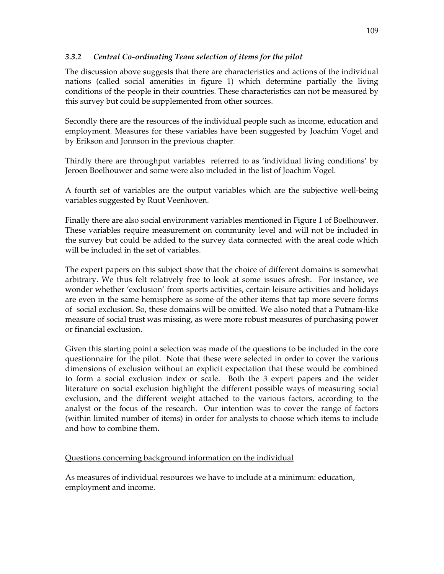## *3.3.2 Central Co-ordinating Team selection of items for the pilot*

The discussion above suggests that there are characteristics and actions of the individual nations (called social amenities in figure 1) which determine partially the living conditions of the people in their countries. These characteristics can not be measured by this survey but could be supplemented from other sources.

Secondly there are the resources of the individual people such as income, education and employment. Measures for these variables have been suggested by Joachim Vogel and by Erikson and Jonnson in the previous chapter.

Thirdly there are throughput variables referred to as 'individual living conditions' by Jeroen Boelhouwer and some were also included in the list of Joachim Vogel.

A fourth set of variables are the output variables which are the subjective well-being variables suggested by Ruut Veenhoven.

Finally there are also social environment variables mentioned in Figure 1 of Boelhouwer. These variables require measurement on community level and will not be included in the survey but could be added to the survey data connected with the areal code which will be included in the set of variables.

The expert papers on this subject show that the choice of different domains is somewhat arbitrary. We thus felt relatively free to look at some issues afresh. For instance, we wonder whether 'exclusion' from sports activities, certain leisure activities and holidays are even in the same hemisphere as some of the other items that tap more severe forms of social exclusion. So, these domains will be omitted. We also noted that a Putnam-like measure of social trust was missing, as were more robust measures of purchasing power or financial exclusion.

Given this starting point a selection was made of the questions to be included in the core questionnaire for the pilot. Note that these were selected in order to cover the various dimensions of exclusion without an explicit expectation that these would be combined to form a social exclusion index or scale. Both the 3 expert papers and the wider literature on social exclusion highlight the different possible ways of measuring social exclusion, and the different weight attached to the various factors, according to the analyst or the focus of the research. Our intention was to cover the range of factors (within limited number of items) in order for analysts to choose which items to include and how to combine them.

## Questions concerning background information on the individual

As measures of individual resources we have to include at a minimum: education, employment and income.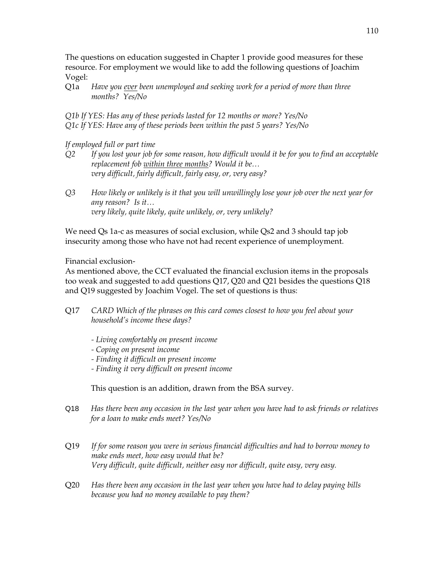The questions on education suggested in Chapter 1 provide good measures for these resource. For employment we would like to add the following questions of Joachim Vogel:

Q1a *Have you ever been unemployed and seeking work for a period of more than three months? Yes/No* 

*Q1b If YES: Has any of these periods lasted for 12 months or more? Yes/No Q1c If YES: Have any of these periods been within the past 5 years? Yes/No* 

*If employed full or part time* 

- *Q2 If you lost your job for some reason, how difficult would it be for you to find an acceptable replacement fob within three months? Would it be… very difficult, fairly difficult, fairly easy, or, very easy?*
- *Q3 How likely or unlikely is it that you will unwillingly lose your job over the next year for any reason? Is it… very likely, quite likely, quite unlikely, or, very unlikely?*

We need Qs 1a-c as measures of social exclusion, while Qs2 and 3 should tap job insecurity among those who have not had recent experience of unemployment.

Financial exclusion-

As mentioned above, the CCT evaluated the financial exclusion items in the proposals too weak and suggested to add questions Q17, Q20 and Q21 besides the questions Q18 and Q19 suggested by Joachim Vogel. The set of questions is thus:

- Q17 *CARD Which of the phrases on this card comes closest to how you feel about your household's income these days?* 
	- *Living comfortably on present income*
	- *Coping on present income*
	- *Finding it difficult on present income*
	- *Finding it very difficult on present income*

This question is an addition, drawn from the BSA survey.

- Q18 *Has there been any occasion in the last year when you have had to ask friends or relatives for a loan to make ends meet? Yes/No*
- Q19 *If for some reason you were in serious financial difficulties and had to borrow money to make ends meet, how easy would that be? Very difficult, quite difficult, neither easy nor difficult, quite easy, very easy.*
- Q20 *Has there been any occasion in the last year when you have had to delay paying bills because you had no money available to pay them?*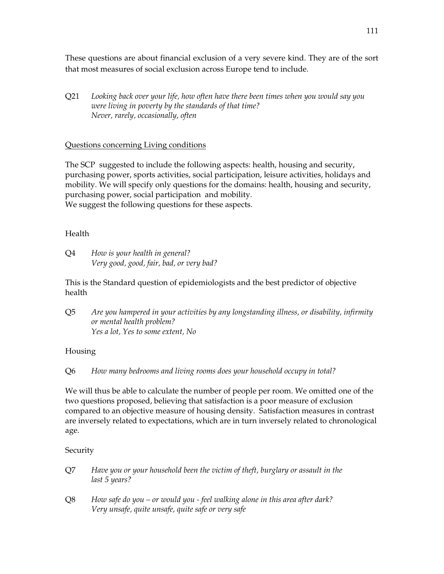These questions are about financial exclusion of a very severe kind. They are of the sort that most measures of social exclusion across Europe tend to include.

Q21 *Looking back over your life, how often have there been times when you would say you were living in poverty by the standards of that time? Never, rarely, occasionally, often* 

#### Questions concerning Living conditions

The SCP suggested to include the following aspects: health, housing and security, purchasing power, sports activities, social participation, leisure activities, holidays and mobility. We will specify only questions for the domains: health, housing and security, purchasing power, social participation and mobility. We suggest the following questions for these aspects.

#### Health

Q4 *How is your health in general? Very good, good, fair, bad, or very bad?* 

This is the Standard question of epidemiologists and the best predictor of objective health

Q5 *Are you hampered in your activities by any longstanding illness, or disability, infirmity or mental health problem? Yes a lot, Yes to some extent, No*

#### Housing

Q6 *How many bedrooms and living rooms does your household occupy in total?*

We will thus be able to calculate the number of people per room. We omitted one of the two questions proposed, believing that satisfaction is a poor measure of exclusion compared to an objective measure of housing density. Satisfaction measures in contrast are inversely related to expectations, which are in turn inversely related to chronological age.

#### Security

| Q7 | Have you or your household been the victim of theft, burglary or assault in the |
|----|---------------------------------------------------------------------------------|
|    | last 5 years?                                                                   |
|    |                                                                                 |

Q8 *How safe do you – or would you - feel walking alone in this area after dark? Very unsafe, quite unsafe, quite safe or very safe*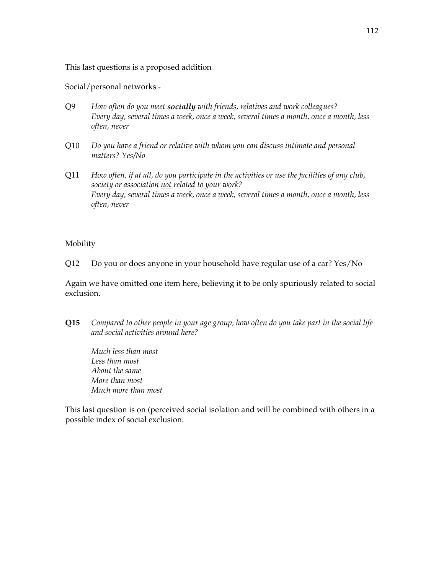This last questions is a proposed addition

Social/personal networks -

- Q9 *How often do you meet socially with friends, relatives and work colleagues? Every day, several times a week, once a week, several times a month, once a month, less often, never*
- Q10 *Do you have a friend or relative with whom you can discuss intimate and personal matters? Yes/No*
- Q11 *How often, if at all, do you participate in the activities or use the facilities of any club, society or association not related to your work? Every day, several times a week, once a week, several times a month, once a month, less often, never*

#### Mobility

Q12 Do you or does anyone in your household have regular use of a car? Yes/No

Again we have omitted one item here, believing it to be only spuriously related to social exclusion.

**Q15** *Compared to other people in your age group, how often do you take part in the social life and social activities around here?* 

*Much less than most Less than most About the same More than most Much more than most*

This last question is on (perceived social isolation and will be combined with others in a possible index of social exclusion.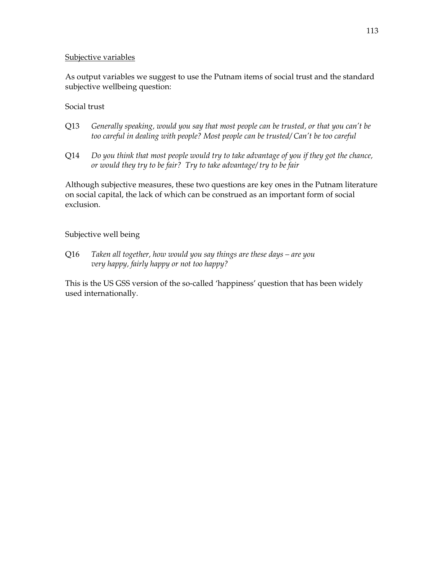#### Subjective variables

As output variables we suggest to use the Putnam items of social trust and the standard subjective wellbeing question:

#### Social trust

- Q13 *Generally speaking, would you say that most people can be trusted, or that you can't be too careful in dealing with people? Most people can be trusted/ Can't be too careful*
- Q14 *Do you think that most people would try to take advantage of you if they got the chance, or would they try to be fair? Try to take advantage/ try to be fair*

Although subjective measures, these two questions are key ones in the Putnam literature on social capital, the lack of which can be construed as an important form of social exclusion.

#### Subjective well being

Q16 *Taken all together, how would you say things are these days – are you very happy, fairly happy or not too happy?* 

This is the US GSS version of the so-called 'happiness' question that has been widely used internationally.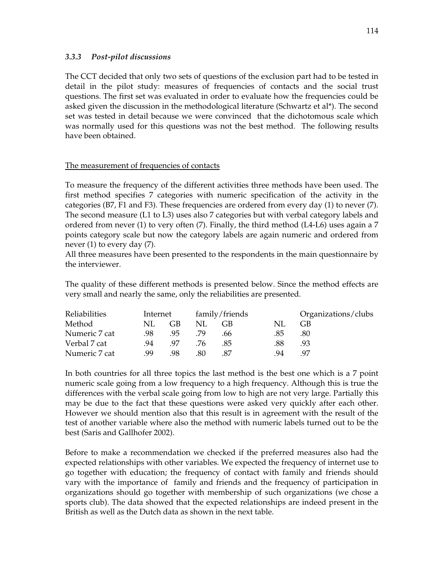#### *3.3.3 Post-pilot discussions*

The CCT decided that only two sets of questions of the exclusion part had to be tested in detail in the pilot study: measures of frequencies of contacts and the social trust questions. The first set was evaluated in order to evaluate how the frequencies could be asked given the discussion in the methodological literature (Schwartz et al\*). The second set was tested in detail because we were convinced that the dichotomous scale which was normally used for this questions was not the best method. The following results have been obtained.

#### The measurement of frequencies of contacts

To measure the frequency of the different activities three methods have been used. The first method specifies 7 categories with numeric specification of the activity in the categories (B7, F1 and F3). These frequencies are ordered from every day (1) to never (7). The second measure (L1 to L3) uses also 7 categories but with verbal category labels and ordered from never (1) to very often (7). Finally, the third method (L4-L6) uses again a 7 points category scale but now the category labels are again numeric and ordered from never (1) to every day (7).

All three measures have been presented to the respondents in the main questionnaire by the interviewer.

The quality of these different methods is presented below. Since the method effects are very small and nearly the same, only the reliabilities are presented.

| Reliabilities | Internet |         |     | family/friends |     | Organizations/clubs |
|---------------|----------|---------|-----|----------------|-----|---------------------|
| Method        | NL.      | GB      | NL. | GB             | NL  | GB                  |
| Numeric 7 cat | .98.     | $.95 -$ | -79 | .66            | .85 | .80                 |
| Verbal 7 cat  | .94      | 97      | -76 | .85            | .88 | .93                 |
| Numeric 7 cat | -99      | .98     |     | .87            | .94 | -97                 |

In both countries for all three topics the last method is the best one which is a 7 point numeric scale going from a low frequency to a high frequency. Although this is true the differences with the verbal scale going from low to high are not very large. Partially this may be due to the fact that these questions were asked very quickly after each other. However we should mention also that this result is in agreement with the result of the test of another variable where also the method with numeric labels turned out to be the best (Saris and Gallhofer 2002).

Before to make a recommendation we checked if the preferred measures also had the expected relationships with other variables. We expected the frequency of internet use to go together with education; the frequency of contact with family and friends should vary with the importance of family and friends and the frequency of participation in organizations should go together with membership of such organizations (we chose a sports club). The data showed that the expected relationships are indeed present in the British as well as the Dutch data as shown in the next table.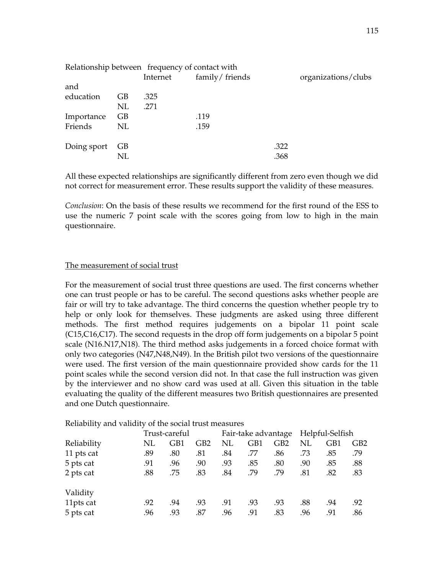|             |           | Relationship between frequency of contact with |                |      |                     |
|-------------|-----------|------------------------------------------------|----------------|------|---------------------|
|             |           | Internet                                       | family/friends |      | organizations/clubs |
| and         |           |                                                |                |      |                     |
| education   | GB        | .325                                           |                |      |                     |
|             | NL        | .271                                           |                |      |                     |
| Importance  | <b>GB</b> |                                                | .119           |      |                     |
| Friends     | NL        |                                                | .159           |      |                     |
| Doing sport | <b>GB</b> |                                                |                | .322 |                     |
|             | NL        |                                                |                | .368 |                     |

All these expected relationships are significantly different from zero even though we did not correct for measurement error. These results support the validity of these measures.

*Conclusion*: On the basis of these results we recommend for the first round of the ESS to use the numeric 7 point scale with the scores going from low to high in the main questionnaire.

#### The measurement of social trust

For the measurement of social trust three questions are used. The first concerns whether one can trust people or has to be careful. The second questions asks whether people are fair or will try to take advantage. The third concerns the question whether people try to help or only look for themselves. These judgments are asked using three different methods. The first method requires judgements on a bipolar 11 point scale (C15,C16,C17). The second requests in the drop off form judgements on a bipolar 5 point scale (N16.N17,N18). The third method asks judgements in a forced choice format with only two categories (N47,N48,N49). In the British pilot two versions of the questionnaire were used. The first version of the main questionnaire provided show cards for the 11 point scales while the second version did not. In that case the full instruction was given by the interviewer and no show card was used at all. Given this situation in the table evaluating the quality of the different measures two British questionnaires are presented and one Dutch questionnaire.

| Renaemly and vandity of the bocker traditional co |     |               |                 |     |                     |     |                 |     |                 |
|---------------------------------------------------|-----|---------------|-----------------|-----|---------------------|-----|-----------------|-----|-----------------|
|                                                   |     | Trust-careful |                 |     | Fair-take advantage |     | Helpful-Selfish |     |                 |
| Reliability                                       | NL  | GB1           | GB <sub>2</sub> | NL  | GB1                 | GB2 | NL              | GB1 | GB <sub>2</sub> |
| 11 pts cat                                        | .89 | .80           | .81             | .84 | .77                 | .86 | .73             | .85 | .79             |
| 5 pts cat                                         | .91 | .96           | .90             | .93 | .85                 | .80 | .90             | .85 | .88             |
| 2 pts cat                                         | .88 | .75           | .83             | .84 | .79                 | .79 | .81             | .82 | .83             |
| Validity                                          |     |               |                 |     |                     |     |                 |     |                 |
| 11pts cat                                         | .92 | .94           | .93             | .91 | .93                 | .93 | .88             | .94 | .92             |
| 5 pts cat                                         | .96 | .93           | .87             | .96 | .91                 | .83 | .96             | .91 | .86             |
|                                                   |     |               |                 |     |                     |     |                 |     |                 |

Reliability and validity of the social trust measures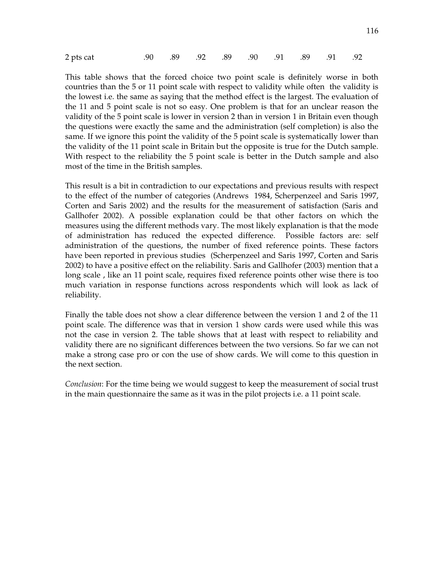| 2 pts cat |  |  | .90 .89 .92 .89 .90 .91 .89 .91 .92 |  |  |  |  |  |  |
|-----------|--|--|-------------------------------------|--|--|--|--|--|--|
|-----------|--|--|-------------------------------------|--|--|--|--|--|--|

This table shows that the forced choice two point scale is definitely worse in both countries than the 5 or 11 point scale with respect to validity while often the validity is the lowest i.e. the same as saying that the method effect is the largest. The evaluation of the 11 and 5 point scale is not so easy. One problem is that for an unclear reason the validity of the 5 point scale is lower in version 2 than in version 1 in Britain even though the questions were exactly the same and the administration (self completion) is also the same. If we ignore this point the validity of the 5 point scale is systematically lower than the validity of the 11 point scale in Britain but the opposite is true for the Dutch sample. With respect to the reliability the 5 point scale is better in the Dutch sample and also most of the time in the British samples.

This result is a bit in contradiction to our expectations and previous results with respect to the effect of the number of categories (Andrews 1984, Scherpenzeel and Saris 1997, Corten and Saris 2002) and the results for the measurement of satisfaction (Saris and Gallhofer 2002). A possible explanation could be that other factors on which the measures using the different methods vary. The most likely explanation is that the mode of administration has reduced the expected difference. Possible factors are: self administration of the questions, the number of fixed reference points. These factors have been reported in previous studies (Scherpenzeel and Saris 1997, Corten and Saris 2002) to have a positive effect on the reliability. Saris and Gallhofer (2003) mention that a long scale , like an 11 point scale, requires fixed reference points other wise there is too much variation in response functions across respondents which will look as lack of reliability.

Finally the table does not show a clear difference between the version 1 and 2 of the 11 point scale. The difference was that in version 1 show cards were used while this was not the case in version 2. The table shows that at least with respect to reliability and validity there are no significant differences between the two versions. So far we can not make a strong case pro or con the use of show cards. We will come to this question in the next section.

*Conclusion*: For the time being we would suggest to keep the measurement of social trust in the main questionnaire the same as it was in the pilot projects i.e. a 11 point scale.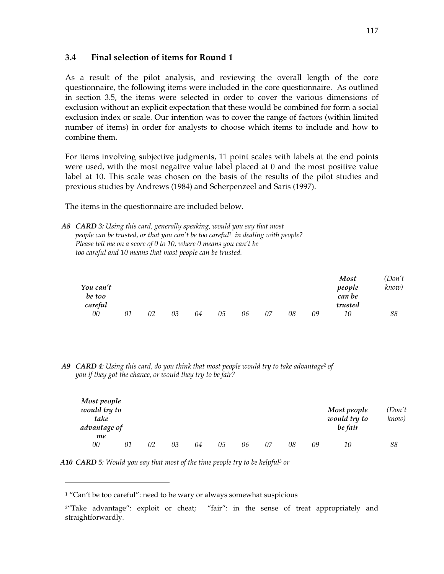#### **3.4 Final selection of items for Round 1**

As a result of the pilot analysis, and reviewing the overall length of the core questionnaire, the following items were included in the core questionnaire. As outlined in section 3.5, the items were selected in order to cover the various dimensions of exclusion without an explicit expectation that these would be combined for form a social exclusion index or scale. Our intention was to cover the range of factors (within limited number of items) in order for analysts to choose which items to include and how to combine them.

For items involving subjective judgments, 11 point scales with labels at the end points were used, with the most negative value label placed at 0 and the most positive value label at 10. This scale was chosen on the basis of the results of the pilot studies and previous studies by Andrews (1984) and Scherpenzeel and Saris (1997).

The items in the questionnaire are included below.

*A8 CARD 3: Using this card, generally speaking, would you say that most people can be trusted, or that you can't be too careful<sup>1</sup> in dealing with people? Please tell me on a score of 0 to 10, where 0 means you can't be too careful and 10 means that most people can be trusted.* 

| You can't<br>be too<br>careful |    |    |    |    |    |    |    |    |    | Most<br>people<br>can be<br>trusted | (Don't<br>know) |
|--------------------------------|----|----|----|----|----|----|----|----|----|-------------------------------------|-----------------|
| 00                             | 01 | 02 | 03 | 04 | 05 | 06 | 07 | 08 | 09 | 10                                  | 88              |

*A9 CARD 4: Using this card, do you think that most people would try to take advantage<sup>2</sup> of you if they got the chance, or would they try to be fair?* 

| Most people<br>would try to<br>take<br>advantage of |    |    |    |    |    |    |    |    | Most people<br>would try to<br>be fair | 'Don't<br>know) |
|-----------------------------------------------------|----|----|----|----|----|----|----|----|----------------------------------------|-----------------|
| me                                                  |    |    |    |    |    |    |    |    |                                        |                 |
| 00                                                  | 01 | 02 | 03 | 04 | 05 | 06 | 08 | 09 | 10                                     | 88              |



-

<sup>1</sup> "Can't be too careful": need to be wary or always somewhat suspicious

<sup>2</sup>"Take advantage": exploit or cheat; "fair": in the sense of treat appropriately and straightforwardly.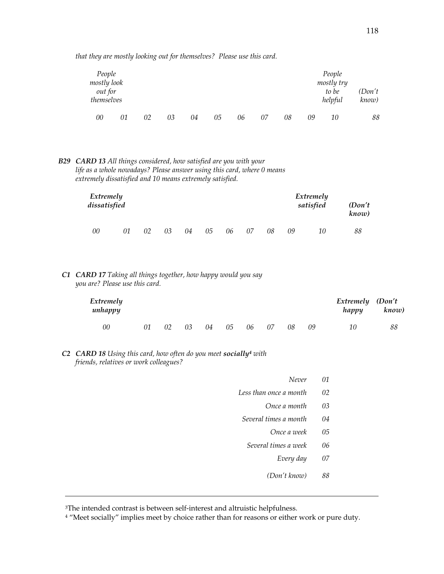| People<br>mostly look |    |    |    |    |    |    |    |    | People<br>mostly try |                  |                 |
|-----------------------|----|----|----|----|----|----|----|----|----------------------|------------------|-----------------|
| out for<br>themselves |    |    |    |    |    |    |    |    |                      | to be<br>helpful | (Don't<br>know) |
| 00                    | 01 | 02 | 03 | 04 | 05 | 06 | 07 | 08 | 09                   | 10               | 88              |

 *that they are mostly looking out for themselves? Please use this card.* 

 *B29 CARD 13 All things considered, how satisfied are you with your life as a whole nowadays? Please answer using this card, where 0 means extremely dissatisfied and 10 means extremely satisfied.* 

| Extremely<br>dissatisfied |    |    |    |    |    |    |    | Extremely<br>satisfied |    |    |    |
|---------------------------|----|----|----|----|----|----|----|------------------------|----|----|----|
| 00                        | 01 | 02 | 03 | 04 | 05 | 06 | 07 | 08                     | 09 | 10 | 88 |

 *C1 CARD 17 Taking all things together, how happy would you say you are? Please use this card.* 

| Extremely<br>unhappy |    |    |    |    |    |    |    |    |    | Extremely (Don't<br>happy | know) |
|----------------------|----|----|----|----|----|----|----|----|----|---------------------------|-------|
| 00                   | 01 | 02 | 03 | 04 | 05 | 06 | 07 | 08 | 09 | 10                        | 88    |

 *C2 CARD 18 Using this card, how often do you meet socially<sup>4</sup> with friends, relatives or work colleagues?* 

| 01 | Never                  |
|----|------------------------|
| 02 | Less than once a month |
| 03 | Once a month           |
| 04 | Several times a month  |
| 05 | Once a week            |
| 06 | Several times a week   |
| 07 | Every day              |
| 88 | (Don't know)           |

<sup>3</sup>The intended contrast is between self-interest and altruistic helpfulness.

-

4 "Meet socially" implies meet by choice rather than for reasons or either work or pure duty.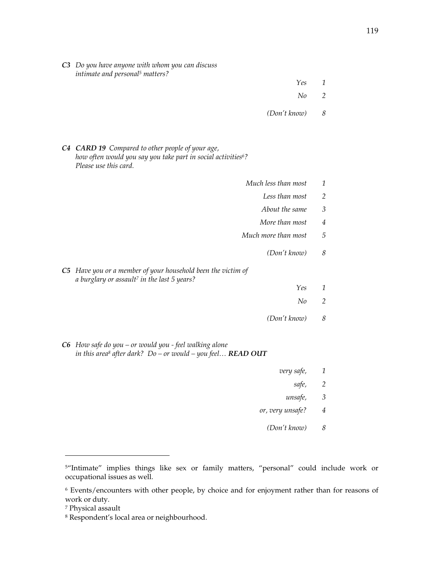- *C3 Do you have anyone with whom you can discuss intimate and personal<sup>5</sup> matters?*
- *Yes 1*
- *No 2* 
	- *(Don't know) 8*
	- *C4 CARD 19 Compared to other people of your age, how often would you say you take part in social activities6? Please use this card.* 
		- *Much less than most 1* 
			- *Less than most 2*
			- *About the same 3*
			- *More than most 4*
		- *Much more than most 5* 
			- *(Don't know) 8*
- *C5 Have you or a member of your household been the victim of a burglary or assault<sup>7</sup> in the last 5 years?*
- *Yes 1*
- *No 2* 
	- *(Don't know) 8*
- *C6 How safe do you or would you feel walking alone in this area<sup>8</sup> after dark? Do – or would – you feel*... *READ OUT*
- *very safe, 1*
- *safe, 2*
- *unsafe, 3* 
	- *or, very unsafe? 4* 
		- *(Don't know) 8*

l

<sup>5</sup>"Intimate" implies things like sex or family matters, "personal" could include work or occupational issues as well.

<sup>6</sup> Events/encounters with other people, by choice and for enjoyment rather than for reasons of work or duty.

<sup>7</sup> Physical assault

<sup>8</sup> Respondent's local area or neighbourhood.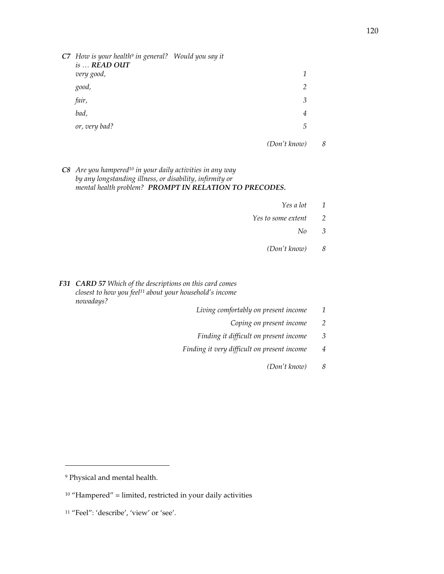| C7 How is your health <sup>9</sup> in general? Would you say it<br>is  READ OUT |              |   |
|---------------------------------------------------------------------------------|--------------|---|
| very good,                                                                      | 1            |   |
| good,                                                                           | 2            |   |
| fair,                                                                           | 3            |   |
| bad,                                                                            | 4            |   |
| or, very bad?                                                                   | 5            |   |
|                                                                                 | (Don't know) | 8 |

 *C8 Are you hampered10 in your daily activities in any way by any longstanding illness, or disability, infirmity or mental health problem? PROMPT IN RELATION TO PRECODES.* 

- *Yes a lot 1* 
	- *Yes to some extent 2*
- *No 3* 
	- *(Don't know) 8*

 *F31 CARD 57 Which of the descriptions on this card comes closest to how you feel11 about your household's income nowadays?* 

- *Living comfortably on present income 1* 
	- *Coping on present income 2*
- *Finding it difficult on present income 3*

 *Finding it very difficult on present income 4* 

 *(Don't know) 8* 

-

<sup>9</sup> Physical and mental health.

<sup>&</sup>lt;sup>10</sup> "Hampered" = limited, restricted in your daily activities

<sup>11</sup> "Feel": 'describe', 'view' or 'see'.